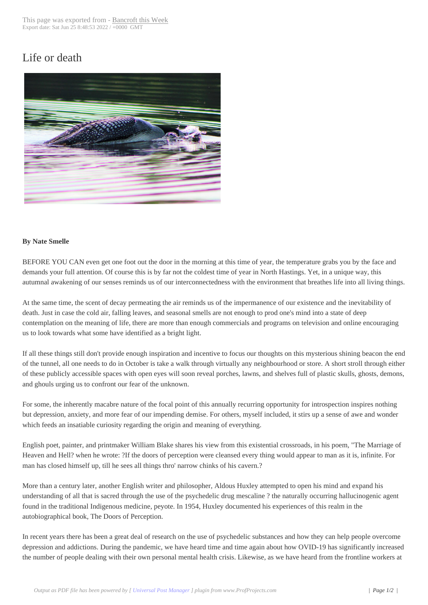## Life or death



## **By Nate Smelle**

BEFORE YOU CAN even get one foot out the door in the morning at this time of year, the temperature grabs you by the face and demands your full attention. Of course this is by far not the coldest time of year in North Hastings. Yet, in a unique way, this autumnal awakening of our senses reminds us of our interconnectedness with the environment that breathes life into all living things.

At the same time, the scent of decay permeating the air reminds us of the impermanence of our existence and the inevitability of death. Just in case the cold air, falling leaves, and seasonal smells are not enough to prod one's mind into a state of deep contemplation on the meaning of life, there are more than enough commercials and programs on television and online encouraging us to look towards what some have identified as a bright light.

If all these things still don't provide enough inspiration and incentive to focus our thoughts on this mysterious shining beacon the end of the tunnel, all one needs to do in October is take a walk through virtually any neighbourhood or store. A short stroll through either of these publicly accessible spaces with open eyes will soon reveal porches, lawns, and shelves full of plastic skulls, ghosts, demons, and ghouls urging us to confront our fear of the unknown.

For some, the inherently macabre nature of the focal point of this annually recurring opportunity for introspection inspires nothing but depression, anxiety, and more fear of our impending demise. For others, myself included, it stirs up a sense of awe and wonder which feeds an insatiable curiosity regarding the origin and meaning of everything.

English poet, painter, and printmaker William Blake shares his view from this existential crossroads, in his poem, "The Marriage of Heaven and Hell? when he wrote: ?If the doors of perception were cleansed every thing would appear to man as it is, infinite. For man has closed himself up, till he sees all things thro' narrow chinks of his cavern.?

More than a century later, another English writer and philosopher, Aldous Huxley attempted to open his mind and expand his understanding of all that is sacred through the use of the psychedelic drug mescaline ? the naturally occurring hallucinogenic agent found in the traditional Indigenous medicine, peyote. In 1954, Huxley documented his experiences of this realm in the autobiographical book, The Doors of Perception.

In recent years there has been a great deal of research on the use of psychedelic substances and how they can help people overcome depression and addictions. During the pandemic, we have heard time and time again about how OVID-19 has significantly increased the number of people dealing with their own personal mental health crisis. Likewise, as we have heard from the frontline workers at